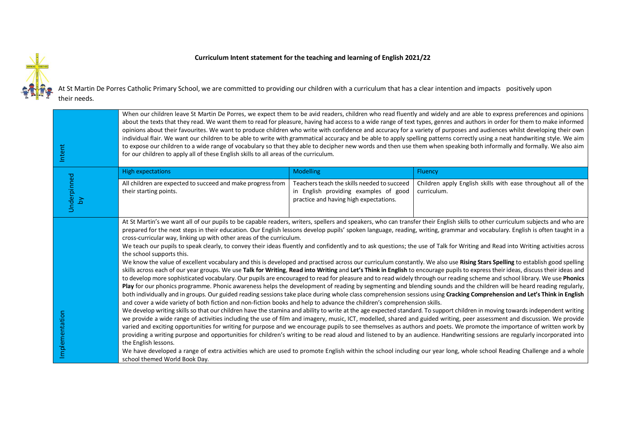## **Curriculum Intent statement for the teaching and learning of English 2021/22**



At St Martin De Porres Catholic Primary School, we are committed to providing our children with a curriculum that has a clear intention and impacts positively upon their needs.

| Intent            | When our children leave St Martin De Porres, we expect them to be avid readers, children who read fluently and widely and are able to express preferences and opinions<br>about the texts that they read. We want them to read for pleasure, having had access to a wide range of text types, genres and authors in order for them to make informed<br>opinions about their favourites. We want to produce children who write with confidence and accuracy for a variety of purposes and audiences whilst developing their own<br>individual flair. We want our children to be able to write with grammatical accuracy and be able to apply spelling patterns correctly using a neat handwriting style. We aim<br>to expose our children to a wide range of vocabulary so that they able to decipher new words and then use them when speaking both informally and formally. We also aim<br>for our children to apply all of these English skills to all areas of the curriculum.                                                                                                                                                                                                                                                                                                                                                                                                                                                                                                                                                                                                                                                                                                                                                                                                                                                                                                                                                                                                                                                                                                                                                                                                                                                                                                                                                                                                                                                                                                                                                                                                                                                            |                                                                                                                                |                                                                              |  |
|-------------------|----------------------------------------------------------------------------------------------------------------------------------------------------------------------------------------------------------------------------------------------------------------------------------------------------------------------------------------------------------------------------------------------------------------------------------------------------------------------------------------------------------------------------------------------------------------------------------------------------------------------------------------------------------------------------------------------------------------------------------------------------------------------------------------------------------------------------------------------------------------------------------------------------------------------------------------------------------------------------------------------------------------------------------------------------------------------------------------------------------------------------------------------------------------------------------------------------------------------------------------------------------------------------------------------------------------------------------------------------------------------------------------------------------------------------------------------------------------------------------------------------------------------------------------------------------------------------------------------------------------------------------------------------------------------------------------------------------------------------------------------------------------------------------------------------------------------------------------------------------------------------------------------------------------------------------------------------------------------------------------------------------------------------------------------------------------------------------------------------------------------------------------------------------------------------------------------------------------------------------------------------------------------------------------------------------------------------------------------------------------------------------------------------------------------------------------------------------------------------------------------------------------------------------------------------------------------------------------------------------------------------------------------|--------------------------------------------------------------------------------------------------------------------------------|------------------------------------------------------------------------------|--|
|                   | <b>High expectations</b>                                                                                                                                                                                                                                                                                                                                                                                                                                                                                                                                                                                                                                                                                                                                                                                                                                                                                                                                                                                                                                                                                                                                                                                                                                                                                                                                                                                                                                                                                                                                                                                                                                                                                                                                                                                                                                                                                                                                                                                                                                                                                                                                                                                                                                                                                                                                                                                                                                                                                                                                                                                                                     | <b>Modelling</b>                                                                                                               | Fluency                                                                      |  |
| Underpinned<br>λá | All children are expected to succeed and make progress from<br>their starting points.                                                                                                                                                                                                                                                                                                                                                                                                                                                                                                                                                                                                                                                                                                                                                                                                                                                                                                                                                                                                                                                                                                                                                                                                                                                                                                                                                                                                                                                                                                                                                                                                                                                                                                                                                                                                                                                                                                                                                                                                                                                                                                                                                                                                                                                                                                                                                                                                                                                                                                                                                        | Teachers teach the skills needed to succeed<br>in English providing examples of good<br>practice and having high expectations. | Children apply English skills with ease throughout all of the<br>curriculum. |  |
| Implementation    | At St Martin's we want all of our pupils to be capable readers, writers, spellers and speakers, who can transfer their English skills to other curriculum subjects and who are<br>prepared for the next steps in their education. Our English lessons develop pupils' spoken language, reading, writing, grammar and vocabulary. English is often taught in a<br>cross-curricular way, linking up with other areas of the curriculum.<br>We teach our pupils to speak clearly, to convey their ideas fluently and confidently and to ask questions; the use of Talk for Writing and Read into Writing activities across<br>the school supports this.<br>We know the value of excellent vocabulary and this is developed and practised across our curriculum constantly. We also use Rising Stars Spelling to establish good spelling<br>skills across each of our year groups. We use Talk for Writing, Read into Writing and Let's Think in English to encourage pupils to express their ideas, discuss their ideas and<br>to develop more sophisticated vocabulary. Our pupils are encouraged to read for pleasure and to read widely through our reading scheme and school library. We use Phonics<br>Play for our phonics programme. Phonic awareness helps the development of reading by segmenting and blending sounds and the children will be heard reading regularly,<br>both individually and in groups. Our guided reading sessions take place during whole class comprehension sessions using Cracking Comprehension and Let's Think in English<br>and cover a wide variety of both fiction and non-fiction books and help to advance the children's comprehension skills.<br>We develop writing skills so that our children have the stamina and ability to write at the age expected standard. To support children in moving towards independent writing<br>we provide a wide range of activities including the use of film and imagery, music, ICT, modelled, shared and guided writing, peer assessment and discussion. We provide<br>varied and exciting opportunities for writing for purpose and we encourage pupils to see themselves as authors and poets. We promote the importance of written work by<br>providing a writing purpose and opportunities for children's writing to be read aloud and listened to by an audience. Handwriting sessions are regularly incorporated into<br>the English lessons.<br>We have developed a range of extra activities which are used to promote English within the school including our year long, whole school Reading Challenge and a whole<br>school themed World Book Day. |                                                                                                                                |                                                                              |  |